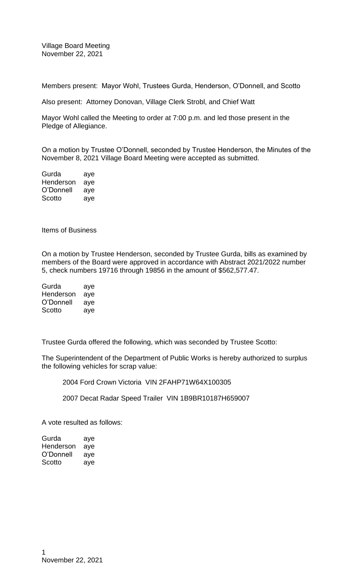Village Board Meeting November 22, 2021

Members present: Mayor Wohl, Trustees Gurda, Henderson, O'Donnell, and Scotto

Also present: Attorney Donovan, Village Clerk Strobl, and Chief Watt

Mayor Wohl called the Meeting to order at 7:00 p.m. and led those present in the Pledge of Allegiance.

On a motion by Trustee O'Donnell, seconded by Trustee Henderson, the Minutes of the November 8, 2021 Village Board Meeting were accepted as submitted.

| Gurda     | aye |
|-----------|-----|
| Henderson | aye |
| O'Donnell | aye |
| Scotto    | aye |

Items of Business

On a motion by Trustee Henderson, seconded by Trustee Gurda, bills as examined by members of the Board were approved in accordance with Abstract 2021/2022 number 5, check numbers 19716 through 19856 in the amount of \$562,577.47.

| Gurda     | aye |
|-----------|-----|
| Henderson | aye |
| O'Donnell | aye |
| Scotto    | aye |

Trustee Gurda offered the following, which was seconded by Trustee Scotto:

The Superintendent of the Department of Public Works is hereby authorized to surplus the following vehicles for scrap value:

2004 Ford Crown Victoria VIN 2FAHP71W64X100305

2007 Decat Radar Speed Trailer VIN 1B9BR10187H659007

A vote resulted as follows:

| Gurda     | aye |
|-----------|-----|
| Henderson | aye |
| O'Donnell | aye |
| Scotto    | aye |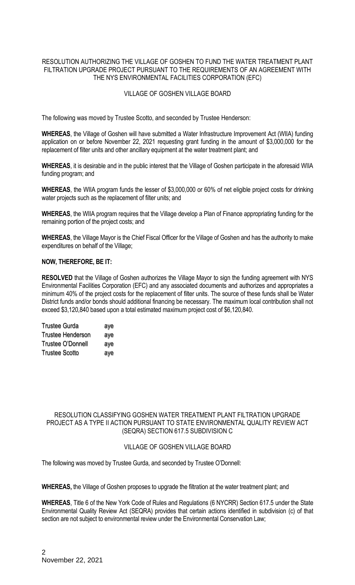# RESOLUTION AUTHORIZING THE VILLAGE OF GOSHEN TO FUND THE WATER TREATMENT PLANT FILTRATION UPGRADE PROJECT PURSUANT TO THE REQUIREMENTS OF AN AGREEMENT WITH THE NYS ENVIRONMENTAL FACILITIES CORPORATION (EFC)

# VILLAGE OF GOSHEN VILLAGE BOARD

The following was moved by Trustee Scotto, and seconded by Trustee Henderson:

**WHEREAS**, the Village of Goshen will have submitted a Water Infrastructure Improvement Act (WIIA) funding application on or before November 22, 2021 requesting grant funding in the amount of \$3,000,000 for the replacement of filter units and other ancillary equipment at the water treatment plant; and

**WHEREAS**, it is desirable and in the public interest that the Village of Goshen participate in the aforesaid WIIA funding program; and

**WHEREAS**, the WIIA program funds the lesser of \$3,000,000 or 60% of net eligible project costs for drinking water projects such as the replacement of filter units; and

**WHEREAS**, the WIIA program requires that the Village develop a Plan of Finance appropriating funding for the remaining portion of the project costs; and

**WHEREAS**, the Village Mayor is the Chief Fiscal Officer for the Village of Goshen and has the authority to make expenditures on behalf of the Village;

# **NOW, THEREFORE, BE IT:**

**RESOLVED** that the Village of Goshen authorizes the Village Mayor to sign the funding agreement with NYS Environmental Facilities Corporation (EFC) and any associated documents and authorizes and appropriates a minimum 40% of the project costs for the replacement of filter units. The source of these funds shall be Water District funds and/or bonds should additional financing be necessary. The maximum local contribution shall not exceed \$3,120,840 based upon a total estimated maximum project cost of \$6,120,840.

| <b>Trustee Gurda</b>     | aye |
|--------------------------|-----|
| <b>Trustee Henderson</b> | aye |
| Trustee O'Donnell        | aye |
| <b>Trustee Scotto</b>    | aye |

# RESOLUTION CLASSIFYING GOSHEN WATER TREATMENT PLANT FILTRATION UPGRADE PROJECT AS A TYPE II ACTION PURSUANT TO STATE ENVIRONMENTAL QUALITY REVIEW ACT (SEQRA) SECTION 617.5 SUBDIVISION C

#### VILLAGE OF GOSHEN VILLAGE BOARD

The following was moved by Trustee Gurda, and seconded by Trustee O'Donnell:

**WHEREAS,** the Village of Goshen proposes to upgrade the filtration at the water treatment plant; and

**WHEREAS**, Title 6 of the New York Code of Rules and Regulations (6 NYCRR) Section 617.5 under the State Environmental Quality Review Act (SEQRA) provides that certain actions identified in subdivision (c) of that section are not subject to environmental review under the Environmental Conservation Law;